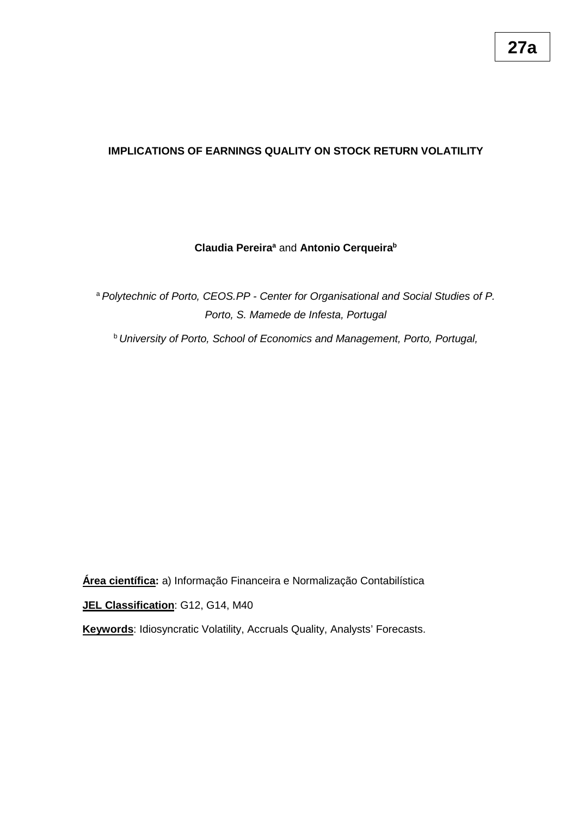# **IMPLICATIONS OF EARNINGS QUALITY ON STOCK RETURN VOLATILITY**

## **Claudia Pereira<sup>ª</sup> and Antonio Cerqueira<sup>b</sup>**

<sup>a</sup>*Polytechnic of Porto, CEOS.PP - Center for Organisational and Social Studies of P. Porto, S. Mamede de Infesta, Portugal*

<sup>b</sup>*University of Porto, School of Economics and Management, Porto, Portugal,* 

**Área científica:** a) Informação Financeira e Normalização Contabilística

**JEL Classification**: G12, G14, M40

**Keywords**: Idiosyncratic Volatility, Accruals Quality, Analysts' Forecasts.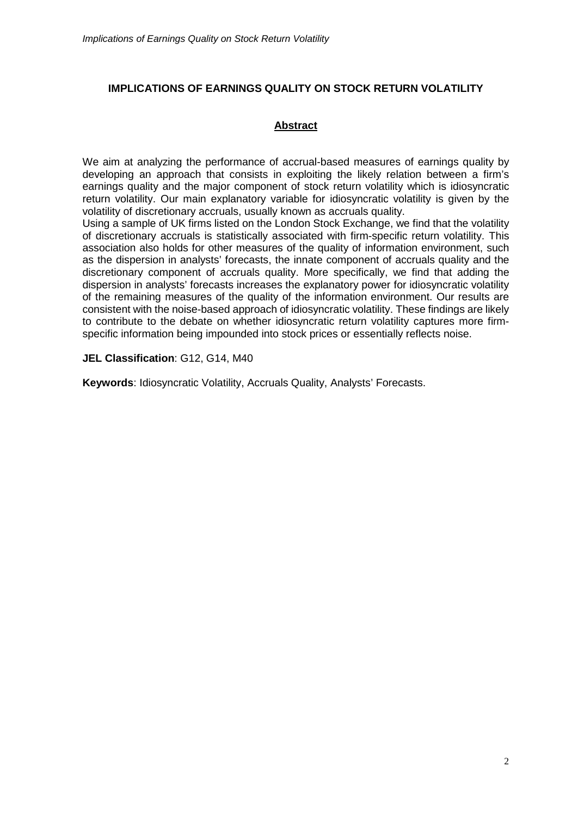# **IMPLICATIONS OF EARNINGS QUALITY ON STOCK RETURN VOLATILITY**

# **Abstract**

We aim at analyzing the performance of accrual-based measures of earnings quality by developing an approach that consists in exploiting the likely relation between a firm's earnings quality and the major component of stock return volatility which is idiosyncratic return volatility. Our main explanatory variable for idiosyncratic volatility is given by the volatility of discretionary accruals, usually known as accruals quality.

Using a sample of UK firms listed on the London Stock Exchange, we find that the volatility of discretionary accruals is statistically associated with firm-specific return volatility. This association also holds for other measures of the quality of information environment, such as the dispersion in analysts' forecasts, the innate component of accruals quality and the discretionary component of accruals quality. More specifically, we find that adding the dispersion in analysts' forecasts increases the explanatory power for idiosyncratic volatility of the remaining measures of the quality of the information environment. Our results are consistent with the noise-based approach of idiosyncratic volatility. These findings are likely to contribute to the debate on whether idiosyncratic return volatility captures more firmspecific information being impounded into stock prices or essentially reflects noise.

## **JEL Classification**: G12, G14, M40

**Keywords**: Idiosyncratic Volatility, Accruals Quality, Analysts' Forecasts.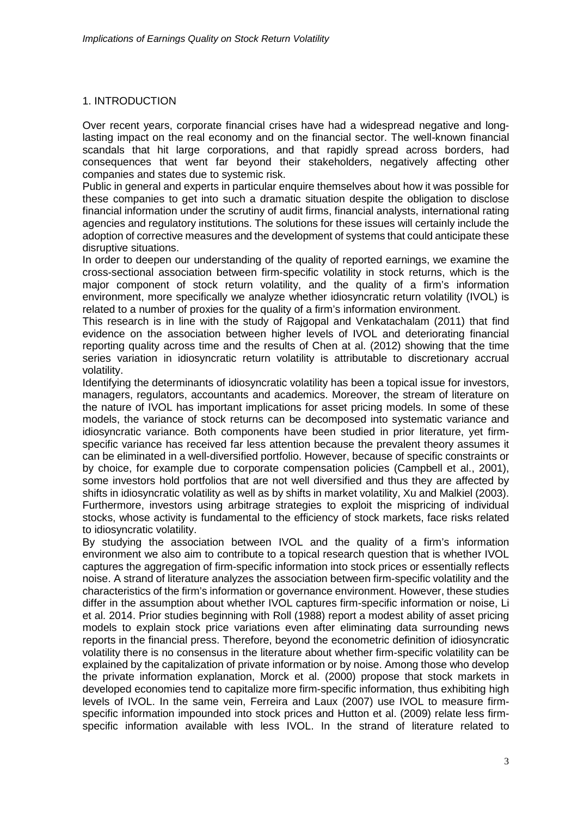## 1. INTRODUCTION

Over recent years, corporate financial crises have had a widespread negative and longlasting impact on the real economy and on the financial sector. The well-known financial scandals that hit large corporations, and that rapidly spread across borders, had consequences that went far beyond their stakeholders, negatively affecting other companies and states due to systemic risk.

Public in general and experts in particular enquire themselves about how it was possible for these companies to get into such a dramatic situation despite the obligation to disclose financial information under the scrutiny of audit firms, financial analysts, international rating agencies and regulatory institutions. The solutions for these issues will certainly include the adoption of corrective measures and the development of systems that could anticipate these disruptive situations.

In order to deepen our understanding of the quality of reported earnings, we examine the cross-sectional association between firm-specific volatility in stock returns, which is the major component of stock return volatility, and the quality of a firm's information environment, more specifically we analyze whether idiosyncratic return volatility (IVOL) is related to a number of proxies for the quality of a firm's information environment.

This research is in line with the study of Rajgopal and Venkatachalam (2011) that find evidence on the association between higher levels of IVOL and deteriorating financial reporting quality across time and the results of Chen at al. (2012) showing that the time series variation in idiosyncratic return volatility is attributable to discretionary accrual volatility.

Identifying the determinants of idiosyncratic volatility has been a topical issue for investors, managers, regulators, accountants and academics. Moreover, the stream of literature on the nature of IVOL has important implications for asset pricing models. In some of these models, the variance of stock returns can be decomposed into systematic variance and idiosyncratic variance. Both components have been studied in prior literature, yet firmspecific variance has received far less attention because the prevalent theory assumes it can be eliminated in a well-diversified portfolio. However, because of specific constraints or by choice, for example due to corporate compensation policies (Campbell et al., 2001), some investors hold portfolios that are not well diversified and thus they are affected by shifts in idiosyncratic volatility as well as by shifts in market volatility, Xu and Malkiel (2003). Furthermore, investors using arbitrage strategies to exploit the mispricing of individual stocks, whose activity is fundamental to the efficiency of stock markets, face risks related to idiosyncratic volatility.

By studying the association between IVOL and the quality of a firm's information environment we also aim to contribute to a topical research question that is whether IVOL captures the aggregation of firm-specific information into stock prices or essentially reflects noise. A strand of literature analyzes the association between firm-specific volatility and the characteristics of the firm's information or governance environment. However, these studies differ in the assumption about whether IVOL captures firm-specific information or noise, Li et al. 2014. Prior studies beginning with Roll (1988) report a modest ability of asset pricing models to explain stock price variations even after eliminating data surrounding news reports in the financial press. Therefore, beyond the econometric definition of idiosyncratic volatility there is no consensus in the literature about whether firm-specific volatility can be explained by the capitalization of private information or by noise. Among those who develop the private information explanation, Morck et al. (2000) propose that stock markets in developed economies tend to capitalize more firm-specific information, thus exhibiting high levels of IVOL. In the same vein, Ferreira and Laux (2007) use IVOL to measure firmspecific information impounded into stock prices and Hutton et al. (2009) relate less firmspecific information available with less IVOL. In the strand of literature related to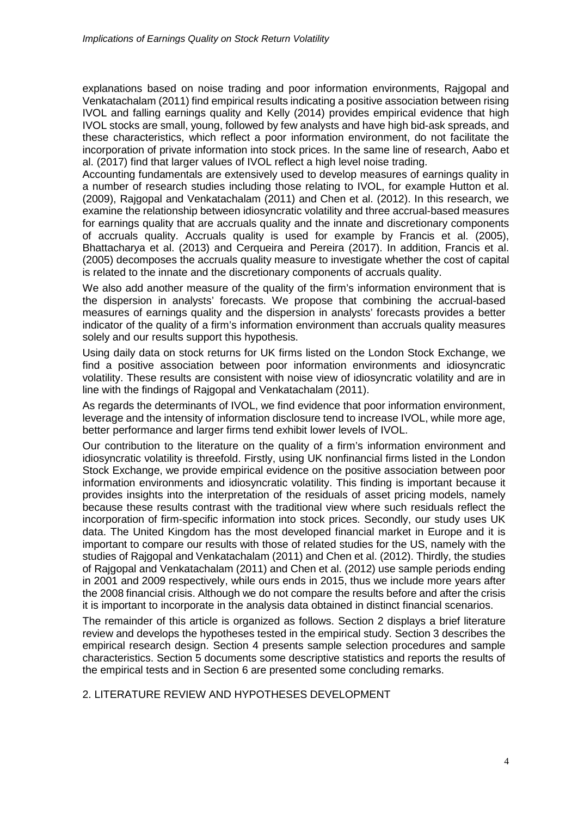explanations based on noise trading and poor information environments, Rajgopal and Venkatachalam (2011) find empirical results indicating a positive association between rising IVOL and falling earnings quality and Kelly (2014) provides empirical evidence that high IVOL stocks are small, young, followed by few analysts and have high bid-ask spreads, and these characteristics, which reflect a poor information environment, do not facilitate the incorporation of private information into stock prices. In the same line of research, Aabo et al. (2017) find that larger values of IVOL reflect a high level noise trading.

Accounting fundamentals are extensively used to develop measures of earnings quality in a number of research studies including those relating to IVOL, for example Hutton et al. (2009), Rajgopal and Venkatachalam (2011) and Chen et al. (2012). In this research, we examine the relationship between idiosyncratic volatility and three accrual-based measures for earnings quality that are accruals quality and the innate and discretionary components of accruals quality. Accruals quality is used for example by Francis et al. (2005), Bhattacharya et al. (2013) and Cerqueira and Pereira (2017). In addition, Francis et al. (2005) decomposes the accruals quality measure to investigate whether the cost of capital is related to the innate and the discretionary components of accruals quality.

We also add another measure of the quality of the firm's information environment that is the dispersion in analysts' forecasts. We propose that combining the accrual-based measures of earnings quality and the dispersion in analysts' forecasts provides a better indicator of the quality of a firm's information environment than accruals quality measures solely and our results support this hypothesis.

Using daily data on stock returns for UK firms listed on the London Stock Exchange, we find a positive association between poor information environments and idiosyncratic volatility. These results are consistent with noise view of idiosyncratic volatility and are in line with the findings of Rajgopal and Venkatachalam (2011).

As regards the determinants of IVOL, we find evidence that poor information environment, leverage and the intensity of information disclosure tend to increase IVOL, while more age, better performance and larger firms tend exhibit lower levels of IVOL.

Our contribution to the literature on the quality of a firm's information environment and idiosyncratic volatility is threefold. Firstly, using UK nonfinancial firms listed in the London Stock Exchange, we provide empirical evidence on the positive association between poor information environments and idiosyncratic volatility. This finding is important because it provides insights into the interpretation of the residuals of asset pricing models, namely because these results contrast with the traditional view where such residuals reflect the incorporation of firm-specific information into stock prices. Secondly, our study uses UK data. The United Kingdom has the most developed financial market in Europe and it is important to compare our results with those of related studies for the US, namely with the studies of Rajgopal and Venkatachalam (2011) and Chen et al. (2012). Thirdly, the studies of Rajgopal and Venkatachalam (2011) and Chen et al. (2012) use sample periods ending in 2001 and 2009 respectively, while ours ends in 2015, thus we include more years after the 2008 financial crisis. Although we do not compare the results before and after the crisis it is important to incorporate in the analysis data obtained in distinct financial scenarios.

The remainder of this article is organized as follows. Section 2 displays a brief literature review and develops the hypotheses tested in the empirical study. Section 3 describes the empirical research design. Section 4 presents sample selection procedures and sample characteristics. Section 5 documents some descriptive statistics and reports the results of the empirical tests and in Section 6 are presented some concluding remarks.

### 2. LITERATURE REVIEW AND HYPOTHESES DEVELOPMENT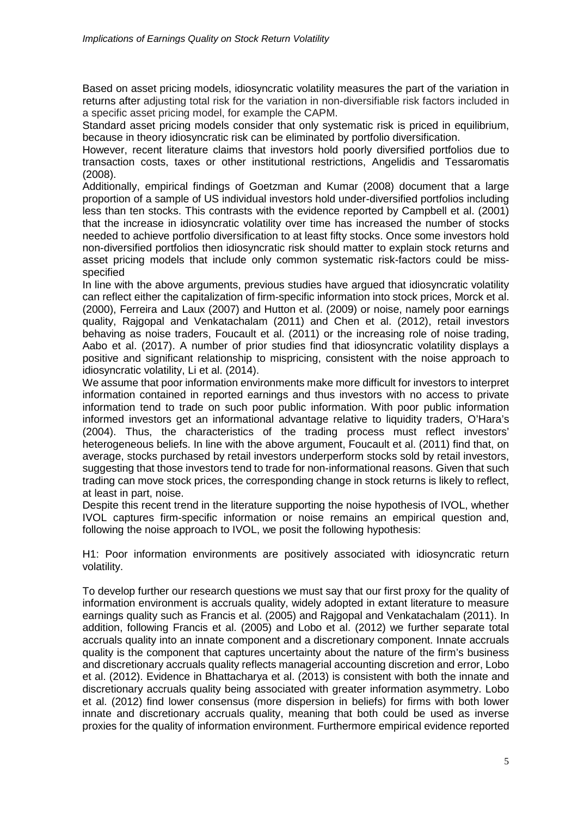Based on asset pricing models, idiosyncratic volatility measures the part of the variation in returns after adjusting total risk for the variation in non-diversifiable risk factors included in a specific asset pricing model, for example the CAPM.

Standard asset pricing models consider that only systematic risk is priced in equilibrium, because in theory idiosyncratic risk can be eliminated by portfolio diversification.

However, recent literature claims that investors hold poorly diversified portfolios due to transaction costs, taxes or other institutional restrictions, Angelidis and Tessaromatis (2008).

Additionally, empirical findings of Goetzman and Kumar (2008) document that a large proportion of a sample of US individual investors hold under-diversified portfolios including less than ten stocks. This contrasts with the evidence reported by Campbell et al. (2001) that the increase in idiosyncratic volatility over time has increased the number of stocks needed to achieve portfolio diversification to at least fifty stocks. Once some investors hold non-diversified portfolios then idiosyncratic risk should matter to explain stock returns and asset pricing models that include only common systematic risk-factors could be missspecified

In line with the above arguments, previous studies have argued that idiosyncratic volatility can reflect either the capitalization of firm-specific information into stock prices, Morck et al. (2000), Ferreira and Laux (2007) and Hutton et al. (2009) or noise, namely poor earnings quality, Rajgopal and Venkatachalam (2011) and Chen et al. (2012), retail investors behaving as noise traders, Foucault et al. (2011) or the increasing role of noise trading, Aabo et al. (2017). A number of prior studies find that idiosyncratic volatility displays a positive and significant relationship to mispricing, consistent with the noise approach to idiosyncratic volatility, Li et al. (2014).

We assume that poor information environments make more difficult for investors to interpret information contained in reported earnings and thus investors with no access to private information tend to trade on such poor public information. With poor public information informed investors get an informational advantage relative to liquidity traders, O'Hara's (2004). Thus, the characteristics of the trading process must reflect investors' heterogeneous beliefs. In line with the above argument, Foucault et al. (2011) find that, on average, stocks purchased by retail investors underperform stocks sold by retail investors, suggesting that those investors tend to trade for non-informational reasons. Given that such trading can move stock prices, the corresponding change in stock returns is likely to reflect, at least in part, noise.

Despite this recent trend in the literature supporting the noise hypothesis of IVOL, whether IVOL captures firm-specific information or noise remains an empirical question and, following the noise approach to IVOL, we posit the following hypothesis:

H1: Poor information environments are positively associated with idiosyncratic return volatility.

To develop further our research questions we must say that our first proxy for the quality of information environment is accruals quality, widely adopted in extant literature to measure earnings quality such as Francis et al. (2005) and Rajgopal and Venkatachalam (2011). In addition, following Francis et al. (2005) and Lobo et al. (2012) we further separate total accruals quality into an innate component and a discretionary component. Innate accruals quality is the component that captures uncertainty about the nature of the firm's business and discretionary accruals quality reflects managerial accounting discretion and error, Lobo et al. (2012). Evidence in Bhattacharya et al. (2013) is consistent with both the innate and discretionary accruals quality being associated with greater information asymmetry. Lobo et al. (2012) find lower consensus (more dispersion in beliefs) for firms with both lower innate and discretionary accruals quality, meaning that both could be used as inverse proxies for the quality of information environment. Furthermore empirical evidence reported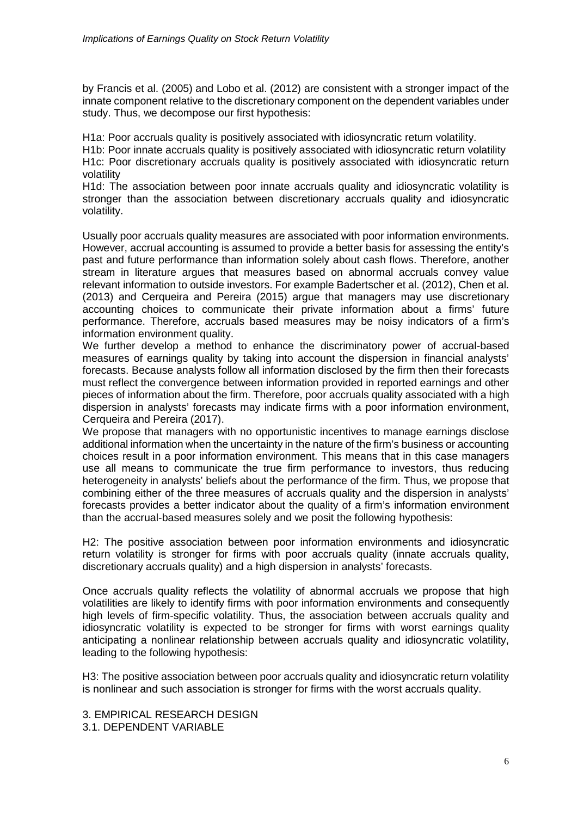by Francis et al. (2005) and Lobo et al. (2012) are consistent with a stronger impact of the innate component relative to the discretionary component on the dependent variables under study. Thus, we decompose our first hypothesis:

H1a: Poor accruals quality is positively associated with idiosyncratic return volatility.

H1b: Poor innate accruals quality is positively associated with idiosyncratic return volatility H1c: Poor discretionary accruals quality is positively associated with idiosyncratic return volatility

H1d: The association between poor innate accruals quality and idiosyncratic volatility is stronger than the association between discretionary accruals quality and idiosyncratic volatility.

Usually poor accruals quality measures are associated with poor information environments. However, accrual accounting is assumed to provide a better basis for assessing the entity's past and future performance than information solely about cash flows. Therefore, another stream in literature argues that measures based on abnormal accruals convey value relevant information to outside investors. For example Badertscher et al. (2012), Chen et al. (2013) and Cerqueira and Pereira (2015) argue that managers may use discretionary accounting choices to communicate their private information about a firms' future performance. Therefore, accruals based measures may be noisy indicators of a firm's information environment quality.

We further develop a method to enhance the discriminatory power of accrual-based measures of earnings quality by taking into account the dispersion in financial analysts' forecasts. Because analysts follow all information disclosed by the firm then their forecasts must reflect the convergence between information provided in reported earnings and other pieces of information about the firm. Therefore, poor accruals quality associated with a high dispersion in analysts' forecasts may indicate firms with a poor information environment, Cerqueira and Pereira (2017).

We propose that managers with no opportunistic incentives to manage earnings disclose additional information when the uncertainty in the nature of the firm's business or accounting choices result in a poor information environment. This means that in this case managers use all means to communicate the true firm performance to investors, thus reducing heterogeneity in analysts' beliefs about the performance of the firm. Thus, we propose that combining either of the three measures of accruals quality and the dispersion in analysts' forecasts provides a better indicator about the quality of a firm's information environment than the accrual-based measures solely and we posit the following hypothesis:

H2: The positive association between poor information environments and idiosyncratic return volatility is stronger for firms with poor accruals quality (innate accruals quality, discretionary accruals quality) and a high dispersion in analysts' forecasts.

Once accruals quality reflects the volatility of abnormal accruals we propose that high volatilities are likely to identify firms with poor information environments and consequently high levels of firm-specific volatility. Thus, the association between accruals quality and idiosyncratic volatility is expected to be stronger for firms with worst earnings quality anticipating a nonlinear relationship between accruals quality and idiosyncratic volatility, leading to the following hypothesis:

H3: The positive association between poor accruals quality and idiosyncratic return volatility is nonlinear and such association is stronger for firms with the worst accruals quality.

3. EMPIRICAL RESEARCH DESIGN 3.1. DEPENDENT VARIABLE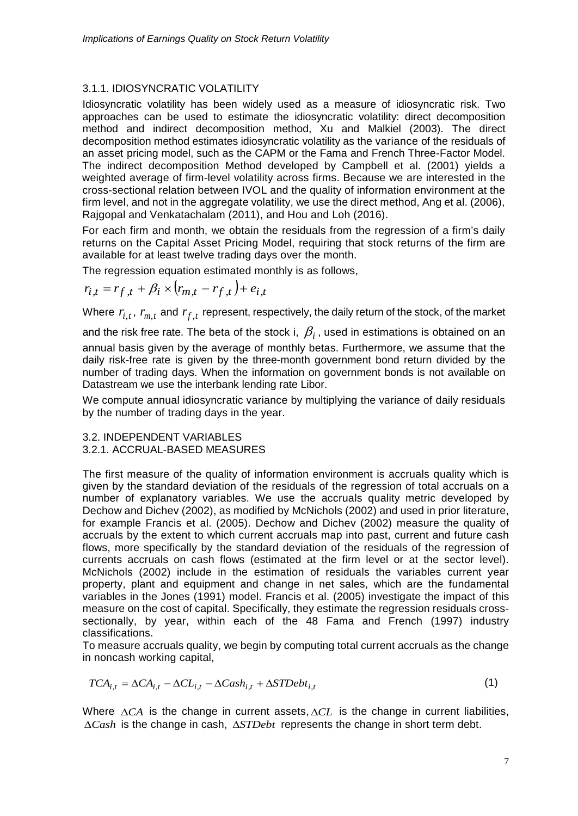# 3.1.1. IDIOSYNCRATIC VOLATILITY

Idiosyncratic volatility has been widely used as a measure of idiosyncratic risk. Two approaches can be used to estimate the idiosyncratic volatility: direct decomposition method and indirect decomposition method, Xu and Malkiel (2003). The direct decomposition method estimates idiosyncratic volatility as the variance of the residuals of an asset pricing model, such as the CAPM or the Fama and French Three-Factor Model. The indirect decomposition Method developed by Campbell et al. (2001) yields a weighted average of firm-level volatility across firms. Because we are interested in the cross-sectional relation between IVOL and the quality of information environment at the firm level, and not in the aggregate volatility, we use the direct method, Ang et al. (2006), Rajgopal and Venkatachalam (2011), and Hou and Loh (2016).

For each firm and month, we obtain the residuals from the regression of a firm's daily returns on the Capital Asset Pricing Model, requiring that stock returns of the firm are available for at least twelve trading days over the month.

The regression equation estimated monthly is as follows,

$$
r_{i,t} = r_{f,t} + \beta_i \times (r_{m,t} - r_{f,t}) + e_{i,t}
$$

Where  $r_{i,t}$ ,  $r_{m,t}$  and  $r_{f,t}$  represent, respectively, the daily return of the stock, of the market

and the risk free rate. The beta of the stock i,  $\beta_i$ , used in estimations is obtained on an

annual basis given by the average of monthly betas. Furthermore, we assume that the daily risk-free rate is given by the three-month government bond return divided by the number of trading days. When the information on government bonds is not available on Datastream we use the interbank lending rate Libor.

We compute annual idiosyncratic variance by multiplying the variance of daily residuals by the number of trading days in the year.

## 3.2. INDEPENDENT VARIABLES 3.2.1. ACCRUAL-BASED MEASURES

The first measure of the quality of information environment is accruals quality which is given by the standard deviation of the residuals of the regression of total accruals on a number of explanatory variables. We use the accruals quality metric developed by Dechow and Dichev (2002), as modified by McNichols (2002) and used in prior literature, for example Francis et al. (2005). Dechow and Dichev (2002) measure the quality of accruals by the extent to which current accruals map into past, current and future cash flows, more specifically by the standard deviation of the residuals of the regression of currents accruals on cash flows (estimated at the firm level or at the sector level). McNichols (2002) include in the estimation of residuals the variables current year property, plant and equipment and change in net sales, which are the fundamental variables in the Jones (1991) model. Francis et al. (2005) investigate the impact of this measure on the cost of capital. Specifically, they estimate the regression residuals crosssectionally, by year, within each of the 48 Fama and French (1997) industry classifications.

To measure accruals quality, we begin by computing total current accruals as the change in noncash working capital,

$$
TCA_{i,t} = \Delta CA_{i,t} - \Delta CL_{i,t} - \Delta Cash_{i,t} + \Delta STDebt_{i,t}
$$
\n(1)

Where ∆*CA* is the change in current assets, ∆*CL* is the change in current liabilities, ∆*Cash* is the change in cash, ∆*STDebt* represents the change in short term debt.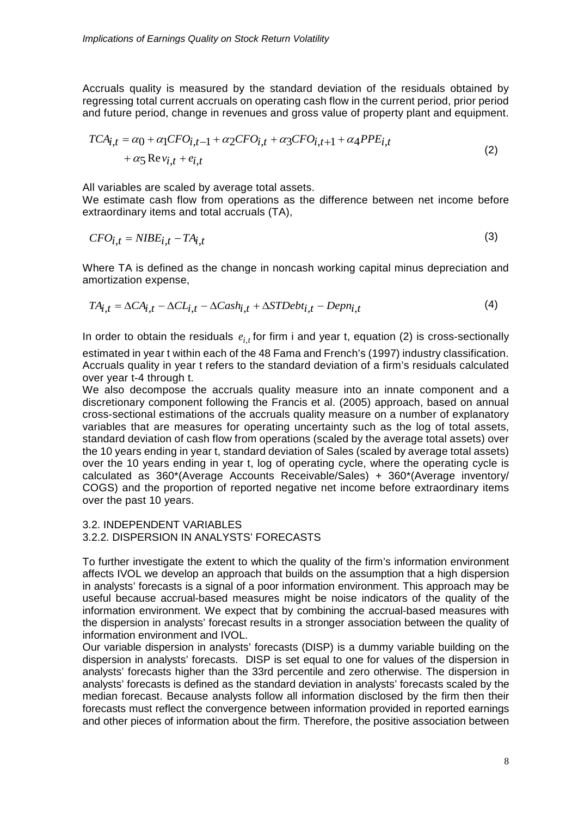Accruals quality is measured by the standard deviation of the residuals obtained by regressing total current accruals on operating cash flow in the current period, prior period and future period, change in revenues and gross value of property plant and equipment.

$$
TCA_{i,t} = \alpha_0 + \alpha_1 CFO_{i,t-1} + \alpha_2 CFO_{i,t} + \alpha_3 CFO_{i,t+1} + \alpha_4 PPE_{i,t}
$$
  
+  $\alpha_5 \text{Re} v_{i,t} + e_{i,t}$  (2)

All variables are scaled by average total assets.

We estimate cash flow from operations as the difference between net income before extraordinary items and total accruals (TA),

$$
CFO_{i,t} = NISE_{i,t} - TA_{i,t} \tag{3}
$$

Where TA is defined as the change in noncash working capital minus depreciation and amortization expense,

$$
TA_{i,t} = \Delta CA_{i,t} - \Delta CL_{i,t} - \Delta Cash_{i,t} + \Delta STDebt_{i,t} - Depn_{i,t}
$$
\n
$$
\tag{4}
$$

In order to obtain the residuals  $e_{i,t}$  for firm i and year t, equation (2) is cross-sectionally

estimated in year t within each of the 48 Fama and French's (1997) industry classification. Accruals quality in year t refers to the standard deviation of a firm's residuals calculated over year t-4 through t.

We also decompose the accruals quality measure into an innate component and a discretionary component following the Francis et al. (2005) approach, based on annual cross-sectional estimations of the accruals quality measure on a number of explanatory variables that are measures for operating uncertainty such as the log of total assets, standard deviation of cash flow from operations (scaled by the average total assets) over the 10 years ending in year t, standard deviation of Sales (scaled by average total assets) over the 10 years ending in year t, log of operating cycle, where the operating cycle is calculated as 360\*(Average Accounts Receivable/Sales) + 360\*(Average inventory/ COGS) and the proportion of reported negative net income before extraordinary items over the past 10 years.

#### 3.2. INDEPENDENT VARIABLES 3.2.2. DISPERSION IN ANALYSTS' FORECASTS

To further investigate the extent to which the quality of the firm's information environment affects IVOL we develop an approach that builds on the assumption that a high dispersion in analysts' forecasts is a signal of a poor information environment. This approach may be useful because accrual-based measures might be noise indicators of the quality of the information environment. We expect that by combining the accrual-based measures with the dispersion in analysts' forecast results in a stronger association between the quality of information environment and IVOL.

Our variable dispersion in analysts' forecasts (DISP) is a dummy variable building on the dispersion in analysts' forecasts. DISP is set equal to one for values of the dispersion in analysts' forecasts higher than the 33rd percentile and zero otherwise. The dispersion in analysts' forecasts is defined as the standard deviation in analysts' forecasts scaled by the median forecast. Because analysts follow all information disclosed by the firm then their forecasts must reflect the convergence between information provided in reported earnings and other pieces of information about the firm. Therefore, the positive association between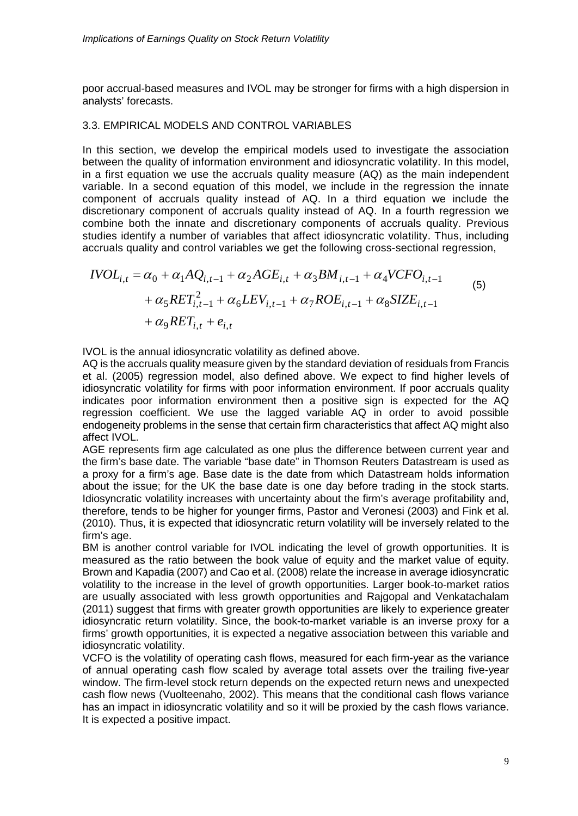poor accrual-based measures and IVOL may be stronger for firms with a high dispersion in analysts' forecasts.

## 3.3. EMPIRICAL MODELS AND CONTROL VARIABLES

In this section, we develop the empirical models used to investigate the association between the quality of information environment and idiosyncratic volatility. In this model, in a first equation we use the accruals quality measure (AQ) as the main independent variable. In a second equation of this model, we include in the regression the innate component of accruals quality instead of AQ. In a third equation we include the discretionary component of accruals quality instead of AQ. In a fourth regression we combine both the innate and discretionary components of accruals quality. Previous studies identify a number of variables that affect idiosyncratic volatility. Thus, including accruals quality and control variables we get the following cross-sectional regression,

$$
IVOL_{i,t} = \alpha_0 + \alpha_1 A Q_{i,t-1} + \alpha_2 A GE_{i,t} + \alpha_3 BM_{i,t-1} + \alpha_4 V CFO_{i,t-1}
$$
  
+  $\alpha_5 RET_{i,t-1}^2 + \alpha_6 LEV_{i,t-1} + \alpha_7 ROE_{i,t-1} + \alpha_8 SIZE_{i,t-1}$   
+  $\alpha_9 RET_{i,t} + e_{i,t}$  (5)

IVOL is the annual idiosyncratic volatility as defined above.

AQ is the accruals quality measure given by the standard deviation of residuals from Francis et al. (2005) regression model, also defined above. We expect to find higher levels of idiosyncratic volatility for firms with poor information environment. If poor accruals quality indicates poor information environment then a positive sign is expected for the AQ regression coefficient. We use the lagged variable AQ in order to avoid possible endogeneity problems in the sense that certain firm characteristics that affect AQ might also affect IVOL.

AGE represents firm age calculated as one plus the difference between current year and the firm's base date. The variable "base date" in Thomson Reuters Datastream is used as a proxy for a firm's age. Base date is the date from which Datastream holds information about the issue; for the UK the base date is one day before trading in the stock starts. Idiosyncratic volatility increases with uncertainty about the firm's average profitability and, therefore, tends to be higher for younger firms, Pastor and Veronesi (2003) and Fink et al. (2010). Thus, it is expected that idiosyncratic return volatility will be inversely related to the firm's age.

BM is another control variable for IVOL indicating the level of growth opportunities. It is measured as the ratio between the book value of equity and the market value of equity. Brown and Kapadia (2007) and Cao et al. (2008) relate the increase in average idiosyncratic volatility to the increase in the level of growth opportunities. Larger book-to-market ratios are usually associated with less growth opportunities and Rajgopal and Venkatachalam (2011) suggest that firms with greater growth opportunities are likely to experience greater idiosyncratic return volatility. Since, the book-to-market variable is an inverse proxy for a firms' growth opportunities, it is expected a negative association between this variable and idiosyncratic volatility.

VCFO is the volatility of operating cash flows, measured for each firm-year as the variance of annual operating cash flow scaled by average total assets over the trailing five-year window. The firm-level stock return depends on the expected return news and unexpected cash flow news (Vuolteenaho, 2002). This means that the conditional cash flows variance has an impact in idiosyncratic volatility and so it will be proxied by the cash flows variance. It is expected a positive impact.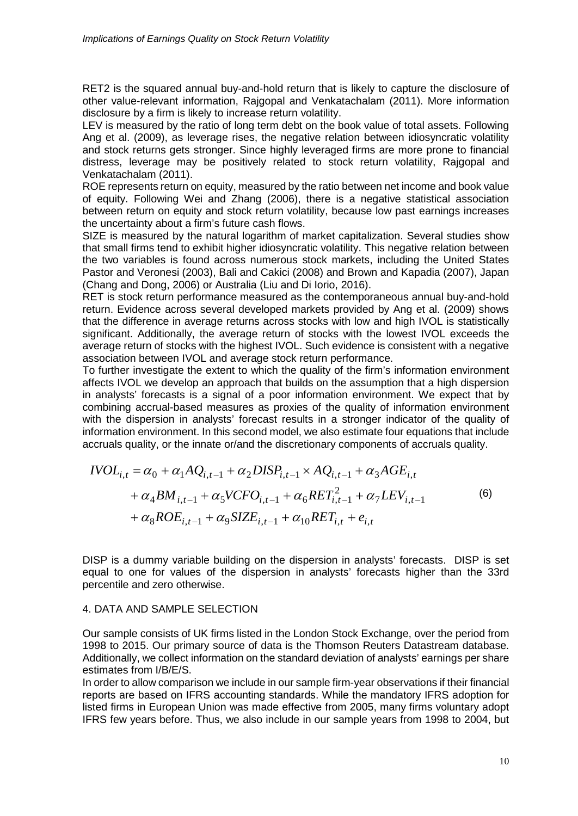RET2 is the squared annual buy-and-hold return that is likely to capture the disclosure of other value-relevant information, Rajgopal and Venkatachalam (2011). More information disclosure by a firm is likely to increase return volatility.

LEV is measured by the ratio of long term debt on the book value of total assets. Following Ang et al. (2009), as leverage rises, the negative relation between idiosyncratic volatility and stock returns gets stronger. Since highly leveraged firms are more prone to financial distress, leverage may be positively related to stock return volatility, Rajgopal and Venkatachalam (2011).

ROE represents return on equity, measured by the ratio between net income and book value of equity. Following Wei and Zhang (2006), there is a negative statistical association between return on equity and stock return volatility, because low past earnings increases the uncertainty about a firm's future cash flows.

SIZE is measured by the natural logarithm of market capitalization. Several studies show that small firms tend to exhibit higher idiosyncratic volatility. This negative relation between the two variables is found across numerous stock markets, including the United States Pastor and Veronesi (2003), Bali and Cakici (2008) and Brown and Kapadia (2007), Japan (Chang and Dong, 2006) or Australia (Liu and Di Iorio, 2016).

RET is stock return performance measured as the contemporaneous annual buy-and-hold return. Evidence across several developed markets provided by Ang et al. (2009) shows that the difference in average returns across stocks with low and high IVOL is statistically significant. Additionally, the average return of stocks with the lowest IVOL exceeds the average return of stocks with the highest IVOL. Such evidence is consistent with a negative association between IVOL and average stock return performance.

To further investigate the extent to which the quality of the firm's information environment affects IVOL we develop an approach that builds on the assumption that a high dispersion in analysts' forecasts is a signal of a poor information environment. We expect that by combining accrual-based measures as proxies of the quality of information environment with the dispersion in analysts' forecast results in a stronger indicator of the quality of information environment. In this second model, we also estimate four equations that include accruals quality, or the innate or/and the discretionary components of accruals quality.

$$
IVOL_{i,t} = \alpha_0 + \alpha_1 A Q_{i,t-1} + \alpha_2 DISP_{i,t-1} \times AQ_{i,t-1} + \alpha_3 A GE_{i,t} + \alpha_4 BM_{i,t-1} + \alpha_5 V C FO_{i,t-1} + \alpha_6 RET_{i,t-1}^2 + \alpha_7 LEV_{i,t-1} + \alpha_8 ROE_{i,t-1} + \alpha_9 SIZE_{i,t-1} + \alpha_{10} RET_{i,t} + e_{i,t}
$$
\n(6)

DISP is a dummy variable building on the dispersion in analysts' forecasts. DISP is set equal to one for values of the dispersion in analysts' forecasts higher than the 33rd percentile and zero otherwise.

### 4. DATA AND SAMPLE SELECTION

Our sample consists of UK firms listed in the London Stock Exchange, over the period from 1998 to 2015. Our primary source of data is the Thomson Reuters Datastream database. Additionally, we collect information on the standard deviation of analysts' earnings per share estimates from I/B/E/S.

In order to allow comparison we include in our sample firm-year observations if their financial reports are based on IFRS accounting standards. While the mandatory IFRS adoption for listed firms in European Union was made effective from 2005, many firms voluntary adopt IFRS few years before. Thus, we also include in our sample years from 1998 to 2004, but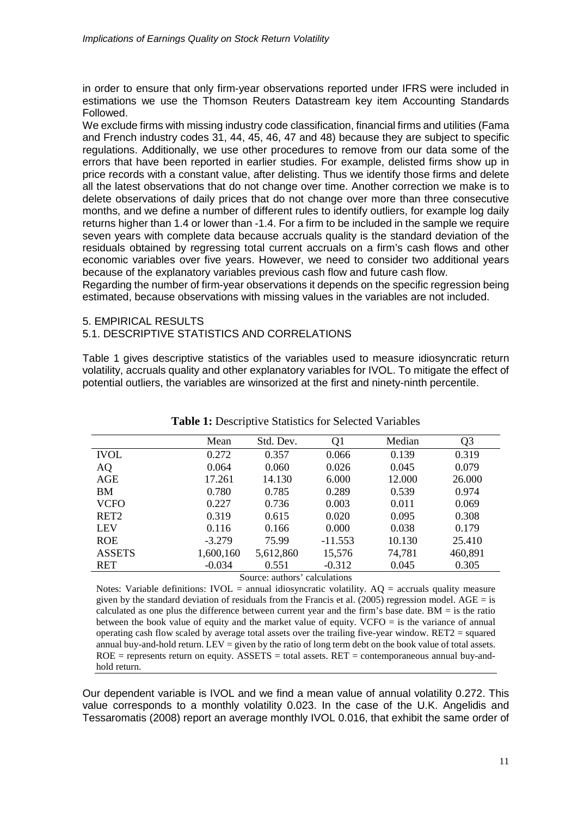in order to ensure that only firm-year observations reported under IFRS were included in estimations we use the Thomson Reuters Datastream key item Accounting Standards Followed.

We exclude firms with missing industry code classification, financial firms and utilities (Fama and French industry codes 31, 44, 45, 46, 47 and 48) because they are subject to specific regulations. Additionally, we use other procedures to remove from our data some of the errors that have been reported in earlier studies. For example, delisted firms show up in price records with a constant value, after delisting. Thus we identify those firms and delete all the latest observations that do not change over time. Another correction we make is to delete observations of daily prices that do not change over more than three consecutive months, and we define a number of different rules to identify outliers, for example log daily returns higher than 1.4 or lower than -1.4. For a firm to be included in the sample we require seven years with complete data because accruals quality is the standard deviation of the residuals obtained by regressing total current accruals on a firm's cash flows and other economic variables over five years. However, we need to consider two additional years because of the explanatory variables previous cash flow and future cash flow.

Regarding the number of firm-year observations it depends on the specific regression being estimated, because observations with missing values in the variables are not included.

## 5. EMPIRICAL RESULTS

## 5.1. DESCRIPTIVE STATISTICS AND CORRELATIONS

Table 1 gives descriptive statistics of the variables used to measure idiosyncratic return volatility, accruals quality and other explanatory variables for IVOL. To mitigate the effect of potential outliers, the variables are winsorized at the first and ninety-ninth percentile.

|                  | Mean      | Std. Dev.                          | Q <sub>1</sub> | Median | Q <sub>3</sub> |
|------------------|-----------|------------------------------------|----------------|--------|----------------|
| <b>IVOL</b>      | 0.272     | 0.357                              | 0.066          | 0.139  | 0.319          |
| AQ               | 0.064     | 0.060                              | 0.026          | 0.045  | 0.079          |
| <b>AGE</b>       | 17.261    | 14.130                             | 6.000          | 12.000 | 26.000         |
| BM               | 0.780     | 0.785                              | 0.289          | 0.539  | 0.974          |
| <b>VCFO</b>      | 0.227     | 0.736                              | 0.003          | 0.011  | 0.069          |
| RET <sub>2</sub> | 0.319     | 0.615                              | 0.020          | 0.095  | 0.308          |
| <b>LEV</b>       | 0.116     | 0.166                              | 0.000          | 0.038  | 0.179          |
| <b>ROE</b>       | $-3.279$  | 75.99                              | $-11.553$      | 10.130 | 25.410         |
| <b>ASSETS</b>    | 1,600,160 | 5,612,860                          | 15,576         | 74,781 | 460,891        |
| RET              | $-0.034$  | 0.551                              | $-0.312$       | 0.045  | 0.305          |
|                  |           | Company and contract and motorized |                |        |                |

**Table 1:** Descriptive Statistics for Selected Variables

Source: authors' calculations

Notes: Variable definitions: IVOL = annual idiosyncratic volatility.  $AQ =$  accruals quality measure given by the standard deviation of residuals from the Francis et al. (2005) regression model. AGE = is calculated as one plus the difference between current year and the firm's base date.  $BM =$  is the ratio between the book value of equity and the market value of equity. VCFO = is the variance of annual operating cash flow scaled by average total assets over the trailing five-year window.  $RET2$  = squared annual buy-and-hold return. LEV = given by the ratio of long term debt on the book value of total assets.  $ROE$  = represents return on equity.  $ASSETS = total$  assets.  $RET = contemporaneous$  annual buy-andhold return.

Our dependent variable is IVOL and we find a mean value of annual volatility 0.272. This value corresponds to a monthly volatility 0.023. In the case of the U.K. Angelidis and Tessaromatis (2008) report an average monthly IVOL 0.016, that exhibit the same order of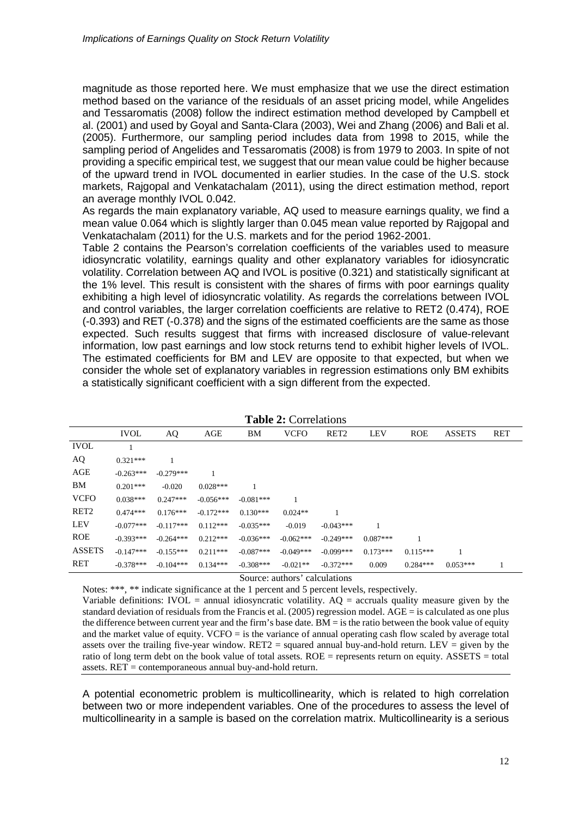magnitude as those reported here. We must emphasize that we use the direct estimation method based on the variance of the residuals of an asset pricing model, while Angelides and Tessaromatis (2008) follow the indirect estimation method developed by Campbell et al. (2001) and used by Goyal and Santa-Clara (2003), Wei and Zhang (2006) and Bali et al. (2005). Furthermore, our sampling period includes data from 1998 to 2015, while the sampling period of Angelides and Tessaromatis (2008) is from 1979 to 2003. In spite of not providing a specific empirical test, we suggest that our mean value could be higher because of the upward trend in IVOL documented in earlier studies. In the case of the U.S. stock markets, Rajgopal and Venkatachalam (2011), using the direct estimation method, report an average monthly IVOL 0.042.

As regards the main explanatory variable, AQ used to measure earnings quality, we find a mean value 0.064 which is slightly larger than 0.045 mean value reported by Rajgopal and Venkatachalam (2011) for the U.S. markets and for the period 1962-2001.

Table 2 contains the Pearson's correlation coefficients of the variables used to measure idiosyncratic volatility, earnings quality and other explanatory variables for idiosyncratic volatility. Correlation between AQ and IVOL is positive (0.321) and statistically significant at the 1% level. This result is consistent with the shares of firms with poor earnings quality exhibiting a high level of idiosyncratic volatility. As regards the correlations between IVOL and control variables, the larger correlation coefficients are relative to RET2 (0.474), ROE (-0.393) and RET (-0.378) and the signs of the estimated coefficients are the same as those expected. Such results suggest that firms with increased disclosure of value-relevant information, low past earnings and low stock returns tend to exhibit higher levels of IVOL. The estimated coefficients for BM and LEV are opposite to that expected, but when we consider the whole set of explanatory variables in regression estimations only BM exhibits a statistically significant coefficient with a sign different from the expected.

|                  | <b>IVOL</b> | AQ          | AGE         | BM          | <b>VCFO</b> | RET <sub>2</sub> | <b>LEV</b> | <b>ROE</b> | <b>ASSETS</b> | <b>RET</b> |
|------------------|-------------|-------------|-------------|-------------|-------------|------------------|------------|------------|---------------|------------|
| <b>IVOL</b>      |             |             |             |             |             |                  |            |            |               |            |
| AQ               | $0.321***$  |             |             |             |             |                  |            |            |               |            |
| AGE              | $-0.263***$ | $-0.279***$ |             |             |             |                  |            |            |               |            |
| BМ               | $0.201***$  | $-0.020$    | $0.028***$  |             |             |                  |            |            |               |            |
| <b>VCFO</b>      | $0.038***$  | $0.247***$  | $-0.056***$ | $-0.081***$ |             |                  |            |            |               |            |
| RET <sub>2</sub> | $0.474***$  | $0.176***$  | $-0.172***$ | $0.130***$  | $0.024**$   |                  |            |            |               |            |
| <b>LEV</b>       | $-0.077***$ | $-0.117***$ | $0.112***$  | $-0.035***$ | $-0.019$    | $-0.043***$      |            |            |               |            |
| <b>ROE</b>       | $-0.393***$ | $-0.264***$ | $0.212***$  | $-0.036***$ | $-0.062***$ | $-0.249***$      | $0.087***$ |            |               |            |
| <b>ASSETS</b>    | $-0.147***$ | $-0.155***$ | $0.211***$  | $-0.087***$ | $-0.049***$ | $-0.099***$      | $0.173***$ | $0.115***$ |               |            |
| <b>RET</b>       | $-0.378***$ | $-0.104***$ | $0.134***$  | $-0.308***$ | $-0.021**$  | $-0.372***$      | 0.009      | $0.284***$ | $0.053***$    |            |
|                  |             |             |             |             |             |                  |            |            |               |            |

| <b>Table 2: Correlations</b> |  |
|------------------------------|--|
|------------------------------|--|

Source: authors' calculations

Notes: \*\*\*, \*\* indicate significance at the 1 percent and 5 percent levels, respectively.

Variable definitions: IVOL = annual idiosyncratic volatility.  $AQ =$  accruals quality measure given by the standard deviation of residuals from the Francis et al. (2005) regression model. AGE = is calculated as one plus the difference between current year and the firm's base date.  $BM =$  is the ratio between the book value of equity and the market value of equity. VCFO = is the variance of annual operating cash flow scaled by average total assets over the trailing five-year window.  $RET2$  = squared annual buy-and-hold return. LEV = given by the ratio of long term debt on the book value of total assets.  $ROE$  = represents return on equity. ASSETS = total assets. RET = contemporaneous annual buy-and-hold return.

A potential econometric problem is multicollinearity, which is related to high correlation between two or more independent variables. One of the procedures to assess the level of multicollinearity in a sample is based on the correlation matrix. Multicollinearity is a serious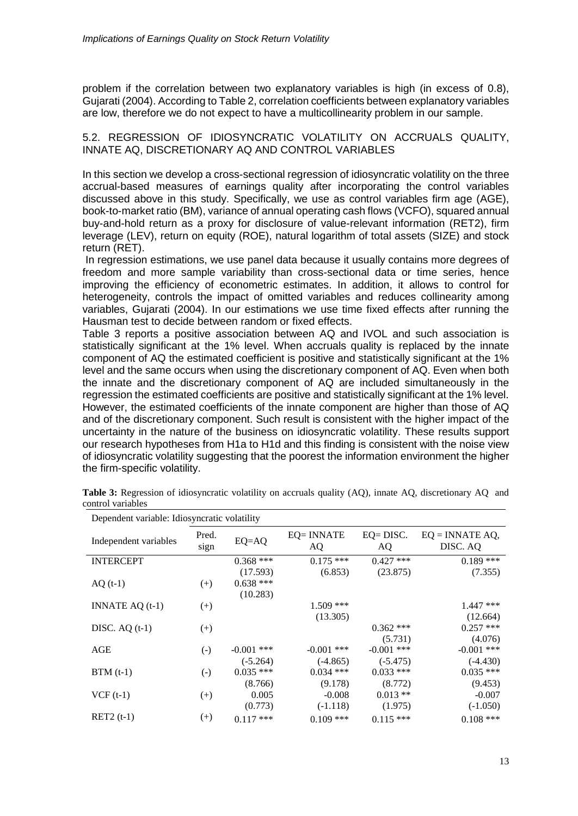problem if the correlation between two explanatory variables is high (in excess of 0.8), Gujarati (2004). According to Table 2, correlation coefficients between explanatory variables are low, therefore we do not expect to have a multicollinearity problem in our sample.

5.2. REGRESSION OF IDIOSYNCRATIC VOLATILITY ON ACCRUALS QUALITY, INNATE AQ, DISCRETIONARY AQ AND CONTROL VARIABLES

In this section we develop a cross-sectional regression of idiosyncratic volatility on the three accrual-based measures of earnings quality after incorporating the control variables discussed above in this study. Specifically, we use as control variables firm age (AGE), book-to-market ratio (BM), variance of annual operating cash flows (VCFO), squared annual buy-and-hold return as a proxy for disclosure of value-relevant information (RET2), firm leverage (LEV), return on equity (ROE), natural logarithm of total assets (SIZE) and stock return (RET).

In regression estimations, we use panel data because it usually contains more degrees of freedom and more sample variability than cross-sectional data or time series, hence improving the efficiency of econometric estimates. In addition, it allows to control for heterogeneity, controls the impact of omitted variables and reduces collinearity among variables, Gujarati (2004). In our estimations we use time fixed effects after running the Hausman test to decide between random or fixed effects.

Table 3 reports a positive association between AQ and IVOL and such association is statistically significant at the 1% level. When accruals quality is replaced by the innate component of AQ the estimated coefficient is positive and statistically significant at the 1% level and the same occurs when using the discretionary component of AQ. Even when both the innate and the discretionary component of AQ are included simultaneously in the regression the estimated coefficients are positive and statistically significant at the 1% level. However, the estimated coefficients of the innate component are higher than those of AQ and of the discretionary component. Such result is consistent with the higher impact of the uncertainty in the nature of the business on idiosyncratic volatility. These results support our research hypotheses from H1a to H1d and this finding is consistent with the noise view of idiosyncratic volatility suggesting that the poorest the information environment the higher the firm-specific volatility.

| Dependent variable: Idiosyncratic volatility |                    |              |                  |                     |                                |  |  |
|----------------------------------------------|--------------------|--------------|------------------|---------------------|--------------------------------|--|--|
| Independent variables                        | Pred.<br>sign      | $EQ=AQ$      | EQ= INNATE<br>AQ | $EQ = DISC$ .<br>AQ | $EQ = INNATE AQ$ ,<br>DISC. AQ |  |  |
| <b>INTERCEPT</b>                             |                    | $0.368$ ***  | $0.175$ ***      | $0.427$ ***         | $0.189$ ***                    |  |  |
|                                              |                    | (17.593)     | (6.853)          | (23.875)            | (7.355)                        |  |  |
| $AQ(t-1)$                                    | $^{(+)}$           | $0.638$ ***  |                  |                     |                                |  |  |
|                                              |                    | (10.283)     |                  |                     |                                |  |  |
| INNATE $AQ(t-1)$                             | $^{(+)}$           |              | $1.509$ ***      |                     | $1.447$ ***                    |  |  |
|                                              |                    |              | (13.305)         |                     | (12.664)                       |  |  |
| DISC. $AQ(t-1)$                              | $^{(+)}$           |              |                  | $0.362$ ***         | $0.257$ ***                    |  |  |
|                                              |                    |              |                  | (5.731)             | (4.076)                        |  |  |
| AGE                                          | $(\textnormal{-})$ | $-0.001$ *** | $-0.001$ ***     | $-0.001$ ***        | $-0.001$ ***                   |  |  |
|                                              |                    | $(-5.264)$   | $(-4.865)$       | $(-5.475)$          | $(-4.430)$                     |  |  |
| $BTM(t-1)$                                   | $(\textnormal{-})$ | $0.035$ ***  | $0.034$ ***      | $0.033$ ***         | $0.035$ ***                    |  |  |
|                                              |                    | (8.766)      | (9.178)          | (8.772)             | (9.453)                        |  |  |
| $VCF(t-1)$                                   | $^{(+)}$           | 0.005        | $-0.008$         | $0.013**$           | $-0.007$                       |  |  |
|                                              |                    | (0.773)      | $(-1.118)$       | (1.975)             | $(-1.050)$                     |  |  |
| $RET2(t-1)$                                  | $^{(+)}$           | $0.117$ ***  | $0.109$ ***      | $0.115***$          | $0.108$ ***                    |  |  |

**Table 3:** Regression of idiosyncratic volatility on accruals quality (AQ), innate AQ, discretionary AQ and control variables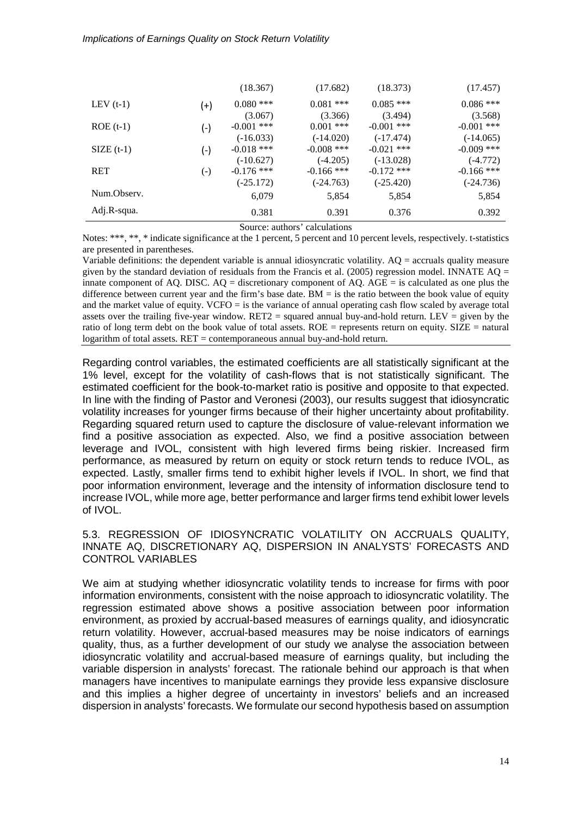|             |                    | (18.367)     | (17.682)     | (18.373)     | (17.457)     |
|-------------|--------------------|--------------|--------------|--------------|--------------|
| LEV $(t-1)$ | $(+)$              | $0.080$ ***  | $0.081$ ***  | $0.085$ ***  | $0.086$ ***  |
|             |                    | (3.067)      | (3.366)      | (3.494)      | (3.568)      |
| $ROE(t-1)$  | (-)                | $-0.001$ *** | $0.001$ ***  | $-0.001$ *** | $-0.001$ *** |
|             |                    | $(-16.033)$  | $(-14.020)$  | $(-17.474)$  | $(-14.065)$  |
| $SIZE(t-1)$ | $(\textnormal{-})$ | $-0.018$ *** | $-0.008$ *** | $-0.021$ *** | $-0.009$ *** |
|             |                    | $(-10.627)$  | $(-4.205)$   | $(-13.028)$  | $(-4.772)$   |
| <b>RET</b>  | $(\textnormal{-})$ | $-0.176$ *** | $-0.166$ *** | $-0.172$ *** | $-0.166$ *** |
|             |                    | $(-25.172)$  | $(-24.763)$  | $(-25.420)$  | $(-24.736)$  |
| Num.Observ. |                    | 6,079        | 5,854        | 5,854        | 5,854        |
| Adj.R-squa. |                    | 0.381        | 0.391        | 0.376        | 0.392        |

Source: authors' calculations

Notes: \*\*\*, \*\*, \* indicate significance at the 1 percent, 5 percent and 10 percent levels, respectively. t-statistics are presented in parentheses.

Variable definitions: the dependent variable is annual idiosyncratic volatility. AQ = accruals quality measure given by the standard deviation of residuals from the Francis et al. (2005) regression model. INNATE AO = innate component of AQ. DISC.  $AO =$  discretionary component of AQ.  $AGE =$  is calculated as one plus the difference between current year and the firm's base date.  $BM =$  is the ratio between the book value of equity and the market value of equity. VCFO = is the variance of annual operating cash flow scaled by average total assets over the trailing five-year window. RET2 = squared annual buy-and-hold return. LEV = given by the ratio of long term debt on the book value of total assets. ROE = represents return on equity. SIZE = natural logarithm of total assets. RET = contemporaneous annual buy-and-hold return.

Regarding control variables, the estimated coefficients are all statistically significant at the 1% level, except for the volatility of cash-flows that is not statistically significant. The estimated coefficient for the book-to-market ratio is positive and opposite to that expected. In line with the finding of Pastor and Veronesi (2003), our results suggest that idiosyncratic volatility increases for younger firms because of their higher uncertainty about profitability. Regarding squared return used to capture the disclosure of value-relevant information we find a positive association as expected. Also, we find a positive association between leverage and IVOL, consistent with high levered firms being riskier. Increased firm performance, as measured by return on equity or stock return tends to reduce IVOL, as expected. Lastly, smaller firms tend to exhibit higher levels if IVOL. In short, we find that poor information environment, leverage and the intensity of information disclosure tend to increase IVOL, while more age, better performance and larger firms tend exhibit lower levels of IVOL.

5.3. REGRESSION OF IDIOSYNCRATIC VOLATILITY ON ACCRUALS QUALITY, INNATE AQ, DISCRETIONARY AQ, DISPERSION IN ANALYSTS' FORECASTS AND CONTROL VARIABLES

We aim at studying whether idiosyncratic volatility tends to increase for firms with poor information environments, consistent with the noise approach to idiosyncratic volatility. The regression estimated above shows a positive association between poor information environment, as proxied by accrual-based measures of earnings quality, and idiosyncratic return volatility. However, accrual-based measures may be noise indicators of earnings quality, thus, as a further development of our study we analyse the association between idiosyncratic volatility and accrual-based measure of earnings quality, but including the variable dispersion in analysts' forecast. The rationale behind our approach is that when managers have incentives to manipulate earnings they provide less expansive disclosure and this implies a higher degree of uncertainty in investors' beliefs and an increased dispersion in analysts' forecasts. We formulate our second hypothesis based on assumption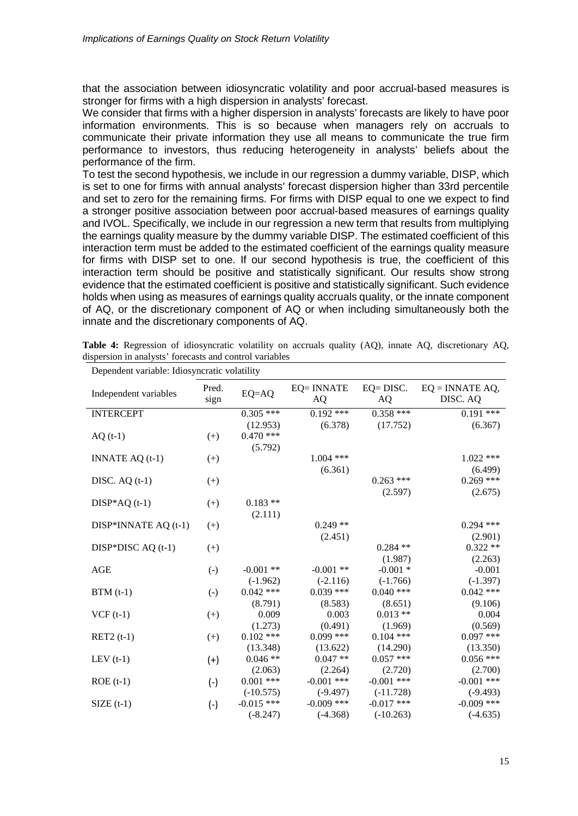that the association between idiosyncratic volatility and poor accrual-based measures is stronger for firms with a high dispersion in analysts' forecast.

We consider that firms with a higher dispersion in analysts' forecasts are likely to have poor information environments. This is so because when managers rely on accruals to communicate their private information they use all means to communicate the true firm performance to investors, thus reducing heterogeneity in analysts' beliefs about the performance of the firm.

To test the second hypothesis, we include in our regression a dummy variable, DISP, which is set to one for firms with annual analysts' forecast dispersion higher than 33rd percentile and set to zero for the remaining firms. For firms with DISP equal to one we expect to find a stronger positive association between poor accrual-based measures of earnings quality and IVOL. Specifically, we include in our regression a new term that results from multiplying the earnings quality measure by the dummy variable DISP. The estimated coefficient of this interaction term must be added to the estimated coefficient of the earnings quality measure for firms with DISP set to one. If our second hypothesis is true, the coefficient of this interaction term should be positive and statistically significant. Our results show strong evidence that the estimated coefficient is positive and statistically significant. Such evidence holds when using as measures of earnings quality accruals quality, or the innate component of AQ, or the discretionary component of AQ or when including simultaneously both the innate and the discretionary components of AQ.

| Dependent variable: Idiosyncratic volatility |                   |              |                         |                     |                                |  |  |
|----------------------------------------------|-------------------|--------------|-------------------------|---------------------|--------------------------------|--|--|
| Independent variables                        | Pred.<br>sign     | $EQ=AQ$      | <b>EQ= INNATE</b><br>AQ | $EQ = DISC$ .<br>AQ | $EQ = INNATE AQ$ ,<br>DISC. AQ |  |  |
| <b>INTERCEPT</b>                             |                   | $0.305$ ***  | $0.192$ ***             | $0.358***$          | $0.191$ ***                    |  |  |
|                                              |                   | (12.953)     | (6.378)                 | (17.752)            | (6.367)                        |  |  |
| $AQ(t-1)$                                    | $(+)$             | $0.470$ ***  |                         |                     |                                |  |  |
|                                              |                   | (5.792)      |                         |                     |                                |  |  |
| INNATE $AQ(t-1)$                             | $^{(+)}$          |              | $1.004$ ***             |                     | $1.022$ ***                    |  |  |
|                                              |                   |              | (6.361)                 |                     | (6.499)                        |  |  |
| DISC. $AQ(t-1)$                              | $(+)$             |              |                         | $0.263$ ***         | $0.269$ ***                    |  |  |
|                                              |                   |              |                         | (2.597)             | (2.675)                        |  |  |
| $DISP*AQ(t-1)$                               | $(+)$             | $0.183**$    |                         |                     |                                |  |  |
|                                              |                   | (2.111)      |                         |                     |                                |  |  |
| DISP*INNATE AQ (t-1)                         | $(+)$             |              | $0.249**$               |                     | $0.294$ ***                    |  |  |
|                                              |                   |              | (2.451)                 |                     | (2.901)                        |  |  |
| DISP*DISC $AQ(t-1)$                          | $(+)$             |              |                         | $0.284$ **          | $0.322**$                      |  |  |
|                                              |                   |              |                         | (1.987)             | (2.263)                        |  |  |
| <b>AGE</b>                                   | $\left( -\right)$ | $-0.001$ **  | $-0.001$ **             | $-0.001*$           | $-0.001$                       |  |  |
|                                              |                   | $(-1.962)$   | $(-2.116)$              | $(-1.766)$          | $(-1.397)$                     |  |  |
| $BTM(t-1)$                                   | $\left( -\right)$ | $0.042$ ***  | $0.039$ ***             | $0.040$ ***         | $0.042$ ***                    |  |  |
|                                              |                   | (8.791)      | (8.583)                 | (8.651)             | (9.106)                        |  |  |
| $VCF(t-1)$                                   | $(+)$             | 0.009        | 0.003                   | $0.013**$           | 0.004                          |  |  |
|                                              |                   | (1.273)      | (0.491)                 | (1.969)             | (0.569)                        |  |  |
| $RET2(t-1)$                                  | $(+)$             | $0.102$ ***  | $0.099$ ***             | $0.104$ ***         | $0.097$ ***                    |  |  |
|                                              |                   | (13.348)     | (13.622)                | (14.290)            | (13.350)                       |  |  |
| LEV $(t-1)$                                  | $(+)$             | $0.046**$    | $0.047**$               | $0.057$ ***         | $0.056$ ***                    |  |  |
|                                              |                   | (2.063)      | (2.264)                 | (2.720)             | (2.700)                        |  |  |
| $ROE(t-1)$                                   | $(-)$             | $0.001$ ***  | $-0.001$ ***            | $-0.001$ ***        | $-0.001$ ***                   |  |  |
|                                              |                   | $(-10.575)$  | $(-9.497)$              | $(-11.728)$         | $(-9.493)$                     |  |  |
| $SIZE(t-1)$                                  | $(-)$             | $-0.015$ *** | $-0.009$ ***            | $-0.017$ ***        | $-0.009$ ***                   |  |  |
|                                              |                   | $(-8.247)$   | $(-4.368)$              | $(-10.263)$         | $(-4.635)$                     |  |  |

**Table 4:** Regression of idiosyncratic volatility on accruals quality (AQ), innate AQ, discretionary AQ, dispersion in analysts' forecasts and control variables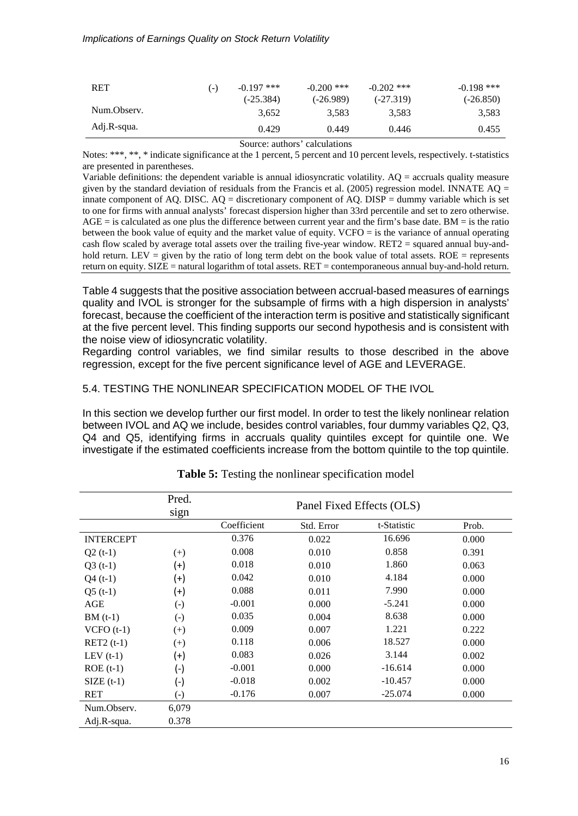#### *Implications of Earnings Quality on Stock Return Volatility*

| <b>RET</b>  | ( – ) | $-0.197$ ***<br>$(-25.384)$ | $-0.200$ ***<br>(-26.989) | $-0.202$ ***<br>$(-27.319)$ | $-0.198$ ***<br>$(-26.850)$ |
|-------------|-------|-----------------------------|---------------------------|-----------------------------|-----------------------------|
| Num.Observ. |       | 3.652                       | 3.583                     | 3.583                       | 3,583                       |
| Adj.R-squa. |       | 0.429                       | 0.449                     | 0.446                       | 0.455                       |

Source: authors' calculations

Notes: \*\*\*, \*\*, \* indicate significance at the 1 percent, 5 percent and 10 percent levels, respectively. t-statistics are presented in parentheses.

Variable definitions: the dependent variable is annual idiosyncratic volatility. AQ = accruals quality measure given by the standard deviation of residuals from the Francis et al. (2005) regression model. INNATE  $AQ =$ innate component of AQ. DISC.  $AQ =$  discretionary component of AQ. DISP = dummy variable which is set to one for firms with annual analysts' forecast dispersion higher than 33rd percentile and set to zero otherwise.  $AGE =$  is calculated as one plus the difference between current year and the firm's base date. BM = is the ratio between the book value of equity and the market value of equity. VCFO = is the variance of annual operating cash flow scaled by average total assets over the trailing five-year window. RET2 = squared annual buy-andhold return. LEV = given by the ratio of long term debt on the book value of total assets. ROE = represents return on equity. SIZE = natural logarithm of total assets. RET = contemporaneous annual buy-and-hold return.

Table 4 suggests that the positive association between accrual-based measures of earnings quality and IVOL is stronger for the subsample of firms with a high dispersion in analysts' forecast, because the coefficient of the interaction term is positive and statistically significant at the five percent level. This finding supports our second hypothesis and is consistent with the noise view of idiosyncratic volatility.

Regarding control variables, we find similar results to those described in the above regression, except for the five percent significance level of AGE and LEVERAGE.

### 5.4. TESTING THE NONLINEAR SPECIFICATION MODEL OF THE IVOL

In this section we develop further our first model. In order to test the likely nonlinear relation between IVOL and AQ we include, besides control variables, four dummy variables Q2, Q3, Q4 and Q5, identifying firms in accruals quality quintiles except for quintile one. We investigate if the estimated coefficients increase from the bottom quintile to the top quintile.

|                  | Pred.<br>sign      | Panel Fixed Effects (OLS) |            |             |       |  |  |  |
|------------------|--------------------|---------------------------|------------|-------------|-------|--|--|--|
|                  |                    | Coefficient               | Std. Error | t-Statistic | Prob. |  |  |  |
| <b>INTERCEPT</b> |                    | 0.376                     | 0.022      | 16.696      | 0.000 |  |  |  |
| $Q2(t-1)$        | $(+)$              | 0.008                     | 0.010      | 0.858       | 0.391 |  |  |  |
| $Q3(t-1)$        | $^{(+)}$           | 0.018                     | 0.010      | 1.860       | 0.063 |  |  |  |
| $Q4(t-1)$        | $^{(+)}$           | 0.042                     | 0.010      | 4.184       | 0.000 |  |  |  |
| $Q5(t-1)$        | $^{(+)}$           | 0.088                     | 0.011      | 7.990       | 0.000 |  |  |  |
| AGE              | $\left( -\right)$  | $-0.001$                  | 0.000      | $-5.241$    | 0.000 |  |  |  |
| $BM(t-1)$        | $(\text{-})$       | 0.035                     | 0.004      | 8.638       | 0.000 |  |  |  |
| $VCFO(t-1)$      | $(+)$              | 0.009                     | 0.007      | 1.221       | 0.222 |  |  |  |
| $RET2(t-1)$      | $(+)$              | 0.118                     | 0.006      | 18.527      | 0.000 |  |  |  |
| LEV $(t-1)$      | $^{(+)}$           | 0.083                     | 0.026      | 3.144       | 0.002 |  |  |  |
| $ROE(t-1)$       | $(\textnormal{-})$ | $-0.001$                  | 0.000      | $-16.614$   | 0.000 |  |  |  |
| $SIZE(t-1)$      | $(-)$              | $-0.018$                  | 0.002      | $-10.457$   | 0.000 |  |  |  |
| <b>RET</b>       | $(\textnormal{-})$ | $-0.176$                  | 0.007      | $-25.074$   | 0.000 |  |  |  |
| Num.Observ.      | 6,079              |                           |            |             |       |  |  |  |
| Adj.R-squa.      | 0.378              |                           |            |             |       |  |  |  |

**Table 5:** Testing the nonlinear specification model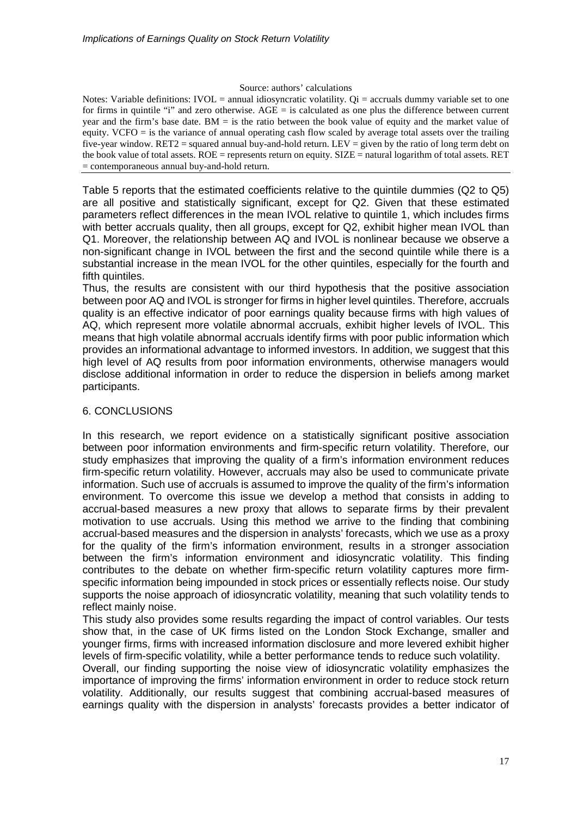#### Source: authors' calculations

Notes: Variable definitions: IVOL = annual idiosyncratic volatility.  $Qi =$  accruals dummy variable set to one for firms in quintile "i" and zero otherwise.  $AGE =$  is calculated as one plus the difference between current year and the firm's base date. BM = is the ratio between the book value of equity and the market value of equity. VCFO = is the variance of annual operating cash flow scaled by average total assets over the trailing five-year window. RET2 = squared annual buy-and-hold return. LEV = given by the ratio of long term debt on the book value of total assets. ROE = represents return on equity. SIZE = natural logarithm of total assets. RET = contemporaneous annual buy-and-hold return.

Table 5 reports that the estimated coefficients relative to the quintile dummies (Q2 to Q5) are all positive and statistically significant, except for Q2. Given that these estimated parameters reflect differences in the mean IVOL relative to quintile 1, which includes firms with better accruals quality, then all groups, except for Q2, exhibit higher mean IVOL than Q1. Moreover, the relationship between AQ and IVOL is nonlinear because we observe a non-significant change in IVOL between the first and the second quintile while there is a substantial increase in the mean IVOL for the other quintiles, especially for the fourth and fifth quintiles.

Thus, the results are consistent with our third hypothesis that the positive association between poor AQ and IVOL is stronger for firms in higher level quintiles. Therefore, accruals quality is an effective indicator of poor earnings quality because firms with high values of AQ, which represent more volatile abnormal accruals, exhibit higher levels of IVOL. This means that high volatile abnormal accruals identify firms with poor public information which provides an informational advantage to informed investors. In addition, we suggest that this high level of AQ results from poor information environments, otherwise managers would disclose additional information in order to reduce the dispersion in beliefs among market participants.

### 6. CONCLUSIONS

In this research, we report evidence on a statistically significant positive association between poor information environments and firm-specific return volatility. Therefore, our study emphasizes that improving the quality of a firm's information environment reduces firm-specific return volatility. However, accruals may also be used to communicate private information. Such use of accruals is assumed to improve the quality of the firm's information environment. To overcome this issue we develop a method that consists in adding to accrual-based measures a new proxy that allows to separate firms by their prevalent motivation to use accruals. Using this method we arrive to the finding that combining accrual-based measures and the dispersion in analysts' forecasts, which we use as a proxy for the quality of the firm's information environment, results in a stronger association between the firm's information environment and idiosyncratic volatility. This finding contributes to the debate on whether firm-specific return volatility captures more firmspecific information being impounded in stock prices or essentially reflects noise. Our study supports the noise approach of idiosyncratic volatility, meaning that such volatility tends to reflect mainly noise.

This study also provides some results regarding the impact of control variables. Our tests show that, in the case of UK firms listed on the London Stock Exchange, smaller and younger firms, firms with increased information disclosure and more levered exhibit higher levels of firm-specific volatility, while a better performance tends to reduce such volatility.

Overall, our finding supporting the noise view of idiosyncratic volatility emphasizes the importance of improving the firms' information environment in order to reduce stock return volatility. Additionally, our results suggest that combining accrual-based measures of earnings quality with the dispersion in analysts' forecasts provides a better indicator of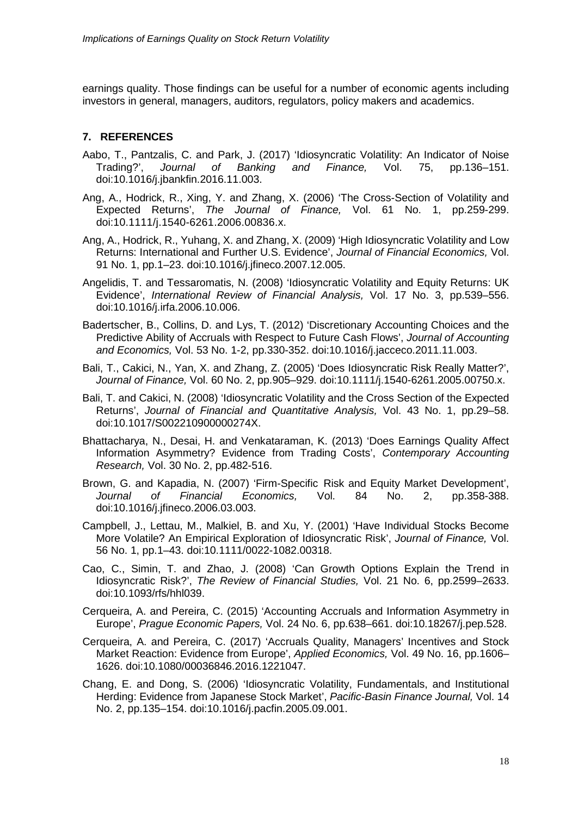earnings quality. Those findings can be useful for a number of economic agents including investors in general, managers, auditors, regulators, policy makers and academics.

# **7. REFERENCES**

- Aabo, T., Pantzalis, C. and Park, J. (2017) 'Idiosyncratic Volatility: An Indicator of Noise<br>Trading?', Journal of Banking and Finance. Vol. 75, pp.136–151. Journal of Banking and Finance, Vol. 75, pp.136–151. doi:10.1016/j.jbankfin.2016.11.003.
- Ang, A., Hodrick, R., Xing, Y. and Zhang, X. (2006) 'The Cross-Section of Volatility and Expected Returns', *The Journal of Finance,* Vol. 61 No. 1, pp.259-299. doi[:10.1111/j.1540-6261.2006.00836.x.](http://dx.doi.org/10.1111/j.1540-6261.2006.00836.x)
- Ang, A., Hodrick, R., Yuhang, X. and Zhang, X. (2009) 'High Idiosyncratic Volatility and Low Returns: International and Further U.S. Evidence', *Journal of Financial Economics,* Vol. 91 No. 1, pp.1–23. doi[:10.1016/j.jfineco.2007.12.005.](https://doi.org/10.1016/j.jfineco.2007.12.005)
- Angelidis, T. and Tessaromatis, N. (2008) 'Idiosyncratic Volatility and Equity Returns: UK Evidence', *International Review of Financial Analysis,* Vol. 17 No. 3, pp.539–556. doi:10.1016/j.irfa.2006.10.006.
- Badertscher, B., Collins, D. and Lys, T. (2012) 'Discretionary Accounting Choices and the Predictive Ability of Accruals with Respect to Future Cash Flows', *Journal of Accounting and Economics,* Vol. 53 No. 1-2, pp.330-352. doi:10.1016/j.jacceco.2011.11.003.
- Bali, T., Cakici, N., Yan, X. and Zhang, Z. (2005) 'Does Idiosyncratic Risk Really Matter?', *Journal of Finance,* Vol. 60 No. 2, pp.905–929. doi[:10.1111/j.1540-6261.2005.00750.x.](http://dx.doi.org/10.1111/j.1540-6261.2005.00750.x)
- Bali, T. and Cakici, N. (2008) 'Idiosyncratic Volatility and the Cross Section of the Expected Returns', *Journal of Financial and Quantitative Analysis,* Vol. 43 No. 1, pp.29–58. doi[:10.1017/S002210900000274X.](http://dx.doi.org/10.1017/S002210900000274X)
- Bhattacharya, N., Desai, H. and Venkataraman, K. (2013) 'Does Earnings Quality Affect Information Asymmetry? Evidence from Trading Costs', *Contemporary Accounting Research,* Vol. 30 No. 2, pp.482-516.
- Brown, G. and Kapadia, N. (2007) 'Firm-Specific Risk and Equity Market Development',<br>Journal of Financial Economics. Vol. 84 No. 2. pp.358-388. *Journal of Financial Economics,* Vol. 84 No. 2, pp.358-388. doi[:10.1016/j.jfineco.2006.03.003.](http://dx.doi.org/10.1016/j.jfineco.2006.03.003)
- Campbell, J., Lettau, M., Malkiel, B. and Xu, Y. (2001) 'Have Individual Stocks Become More Volatile? An Empirical Exploration of Idiosyncratic Risk', *Journal of Finance,* Vol. 56 No. 1, pp.1–43. doi:10.1111/0022-1082.00318.
- Cao, C., Simin, T. and Zhao, J. (2008) 'Can Growth Options Explain the Trend in Idiosyncratic Risk?', *The Review of Financial Studies,* Vol. 21 No. 6, pp.2599–2633. doi[:10.1093/rfs/hhl039.](https://doi.org/10.1093/rfs/hhl039)
- Cerqueira, A. and Pereira, C. (2015) 'Accounting Accruals and Information Asymmetry in Europe', *Prague Economic Papers,* Vol. 24 No. 6, pp.638–661. doi:10.18267/j.pep.528.
- Cerqueira, A. and Pereira, C. (2017) 'Accruals Quality, Managers' Incentives and Stock Market Reaction: Evidence from Europe', *Applied Economics,* Vol. 49 No. 16, pp.1606– 1626. doi:10.1080/00036846.2016.1221047.
- Chang, E. and Dong, S. (2006) 'Idiosyncratic Volatility, Fundamentals, and Institutional Herding: Evidence from Japanese Stock Market', *Pacific-Basin Finance Journal,* Vol. 14 No. 2, pp.135–154. doi[:10.1016/j.pacfin.2005.09.001.](https://doi.org/10.1016/j.pacfin.2005.09.001)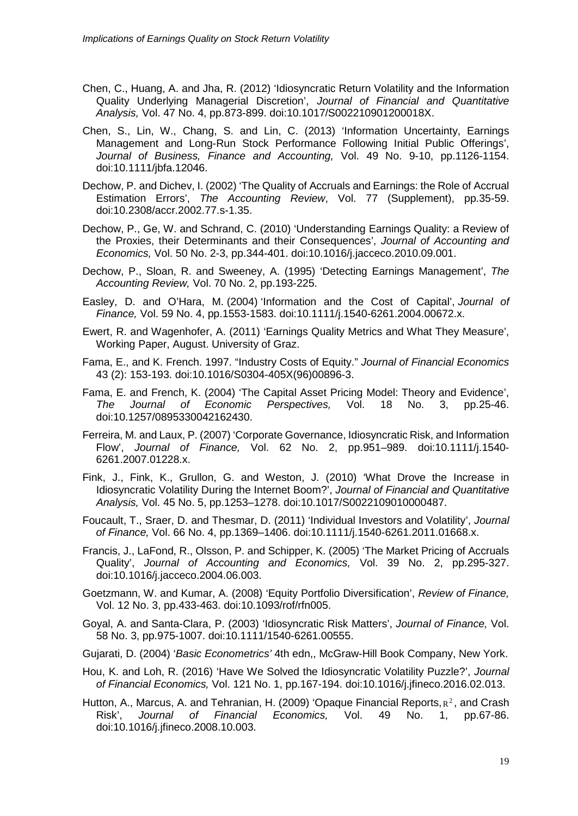- Chen, C., Huang, A. and Jha, R. (2012) 'Idiosyncratic Return Volatility and the Information Quality Underlying Managerial Discretion', *Journal of Financial and Quantitative Analysis,* Vol. 47 No. 4, pp.873-899. doi:10.1017/S002210901200018X.
- Chen, S., Lin, W., Chang, S. and Lin, C. (2013) 'Information Uncertainty, Earnings Management and Long-Run Stock Performance Following Initial Public Offerings', *Journal of Business, Finance and Accounting,* Vol. 49 No. 9-10, pp.1126-1154. doi:10.1111/jbfa.12046.
- Dechow, P. and Dichev, I. (2002) 'The Quality of Accruals and Earnings: the Role of Accrual Estimation Errors', *The Accounting Review*, Vol. 77 (Supplement), pp.35-59. doi[:10.2308/accr.2002.77.s-1.35.](http://dx.doi.org/10.2308/accr.2002.77.s-1.35)
- Dechow, P., Ge, W. and Schrand, C. (2010) 'Understanding Earnings Quality: a Review of the Proxies, their Determinants and their Consequences', *Journal of Accounting and Economics,* Vol. 50 No. 2-3, pp.344-401. doi:10.1016/j.jacceco.2010.09.001.
- Dechow, P., Sloan, R. and Sweeney, A. (1995) 'Detecting Earnings Management', *The Accounting Review,* Vol. 70 No. 2, pp.193-225.
- Easley, D. and O'Hara, M. (2004) 'Information and the Cost of Capital', *Journal of Finance,* Vol. 59 No. 4, pp.1553-1583. doi:10.1111/j.1540-6261.2004.00672.x.
- Ewert, R. and Wagenhofer, A. (2011) 'Earnings Quality Metrics and What They Measure', Working Paper, August. University of Graz.
- Fama, E., and K. French. 1997. "Industry Costs of Equity." *Journal of Financial Economics* 43 (2): 153-193. doi[:10.1016/S0304-405X\(96\)00896-3.](http://dx.doi.org/10.1016/S0304-405X(96)00896-3)
- Fama, E. and French, K. (2004) 'The Capital Asset Pricing Model: Theory and Evidence', *The Journal of Economic Perspectives,* Vol. 18 No. 3, pp.25-46. doi[:10.1257/0895330042162430.](http://dx.doi.org/10.1257/0895330042162430)
- Ferreira, M. and Laux, P. (2007) 'Corporate Governance, Idiosyncratic Risk, and Information Flow', *Journal of Finance,* Vol. 62 No. 2, pp.951–989. doi:10.1111/j.1540- 6261.2007.01228.x.
- Fink, J., Fink, K., Grullon, G. and Weston, J. (2010) 'What Drove the Increase in Idiosyncratic Volatility During the Internet Boom?', *Journal of Financial and Quantitative Analysis,* Vol. 45 No. 5, pp.1253–1278. doi:10.1017/S0022109010000487.
- Foucault, T., Sraer, D. and Thesmar, D. (2011) 'Individual Investors and Volatility', *Journal of Finance,* Vol. 66 No. 4, pp.1369–1406. doi[:10.1111/j.1540-6261.2011.01668.x.](http://dx.doi.org/10.1111/j.1540-6261.2011.01668.x)
- Francis, J., LaFond, R., Olsson, P. and Schipper, K. (2005) 'The Market Pricing of Accruals Quality', *Journal of Accounting and Economics,* Vol. 39 No. 2, pp.295-327. doi:10.1016/j.jacceco.2004.06.003.
- Goetzmann, W. and Kumar, A. (2008) 'Equity Portfolio Diversification', *Review of Finance,* Vol. 12 No. 3, pp.433-463. doi:10.1093/rof/rfn005.
- Goyal, A. and Santa-Clara, P. (2003) 'Idiosyncratic Risk Matters', *Journal of Finance,* Vol. 58 No. 3, pp.975-1007. doi[:10.1111/1540-6261.00555.](http://dx.doi.org/10.1111/1540-6261.00555)
- Gujarati, D. (2004) '*Basic Econometrics'* 4th edn,, McGraw-Hill Book Company, New York.
- Hou, K. and Loh, R. (2016) 'Have We Solved the Idiosyncratic Volatility Puzzle?', *Journal of Financial Economics,* Vol. 121 No. 1, pp.167-194. doi:10.1016/j.jfineco.2016.02.013.
- Hutton, A., Marcus, A. and Tehranian, H. (2009) 'Opaque Financial Reports,  $R^2$ , and Crash Risk', *Journal of Financial Economics,* Vol. 49 No. 1, pp.67-86. doi:10.1016/j.jfineco.2008.10.003.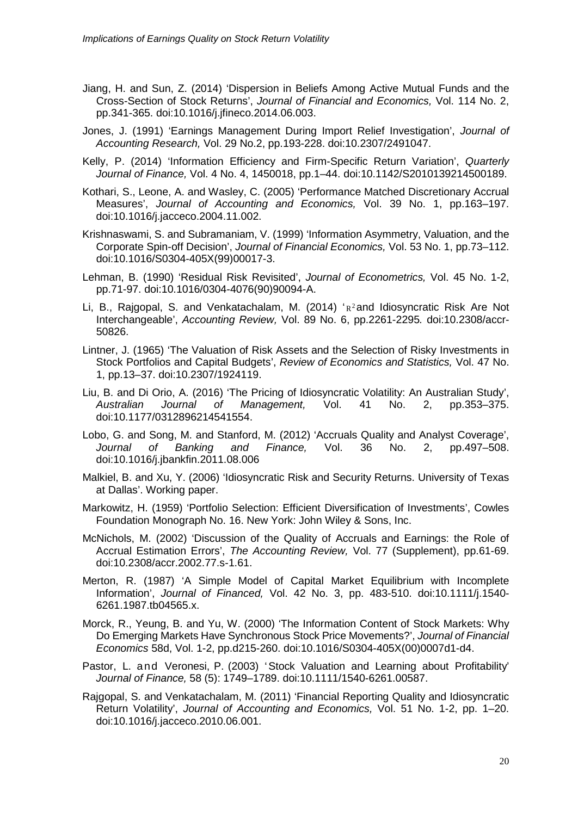- Jiang, H. and Sun, Z. (2014) 'Dispersion in Beliefs Among Active Mutual Funds and the Cross-Section of Stock Returns', *Journal of Financial and Economics,* Vol. 114 No. 2, pp.341-365. doi:10.1016/j.jfineco.2014.06.003.
- Jones, J. (1991) 'Earnings Management During Import Relief Investigation', *Journal of Accounting Research,* Vol. 29 No.2, pp.193-228. doi[:10.2307/2491047.](http://dx.doi.org/10.2307/2491047)
- Kelly, P. (2014) 'Information Efficiency and Firm-Specific Return Variation', *Quarterly Journal of Finance,* Vol. 4 No. 4, 1450018, pp.1–44. doi[:10.1142/S2010139214500189.](http://dx.doi.org/10.1142/S2010139214500189)
- Kothari, S., Leone, A. and Wasley, C. (2005) 'Performance Matched Discretionary Accrual Measures', *Journal of Accounting and Economics,* Vol. 39 No. 1, pp.163–197. doi:10.1016/j.jacceco.2004.11.002.
- Krishnaswami, S. and Subramaniam, V. (1999) 'Information Asymmetry, Valuation, and the Corporate Spin-off Decision', *Journal of Financial Economics,* Vol. 53 No. 1, pp.73–112. doi[:10.1016/S0304-405X\(99\)00017-3.](http://dx.doi.org/10.1016/S0304-405X(99)00017-3)
- Lehman, B. (1990) 'Residual Risk Revisited', *Journal of Econometrics,* Vol. 45 No. 1-2, pp.71-97. doi[:10.1016/0304-4076\(90\)90094-A.](http://dx.doi.org/10.1016/0304-4076(90)90094-A)
- Li, B., Rajgopal, S. and Venkatachalam, M. (2014)  $R^2$  and Idiosyncratic Risk Are Not Interchangeable', *Accounting Review,* Vol. 89 No. 6, pp.2261-2295*.* doi:10.2308/accr-50826.
- Lintner, J. (1965) 'The Valuation of Risk Assets and the Selection of Risky Investments in Stock Portfolios and Capital Budgets', *Review of Economics and Statistics,* Vol. 47 No. 1, pp.13–37. doi[:10.2307/1924119.](http://dx.doi.org/10.2307/1924119)
- Liu, B. and Di Orio, A. (2016) 'The Pricing of Idiosyncratic Volatility: An Australian Study', *Australian Journal of Management,* Vol. 41 No. 2, pp.353–375. doi[:10.1177/0312896214541554.](http://dx.doi.org/10.1177/0312896214541554)
- Lobo, G. and Song, M. and Stanford, M. (2012) 'Accruals Quality and Analyst Coverage', *Journal of Banking and Finance,* Vol. 36 No. 2, pp.497–508. doi[:10.1016/j.jbankfin.2011.08.006](http://dx.doi.org/10.1016/j.jbankfin.2011.08.006)
- Malkiel, B. and Xu, Y. (2006) 'Idiosyncratic Risk and Security Returns. University of Texas at Dallas'. Working paper.
- Markowitz, H. (1959) 'Portfolio Selection: Efficient Diversification of Investments', Cowles Foundation Monograph No. 16. New York: John Wiley & Sons, Inc.
- McNichols, M. (2002) 'Discussion of the Quality of Accruals and Earnings: the Role of Accrual Estimation Errors', *The Accounting Review,* Vol. 77 (Supplement), pp.61-69. doi[:10.2308/accr.2002.77.s-1.61.](http://dx.doi.org/10.2308/accr.2002.77.s-1.61)
- Merton, R. (1987) 'A Simple Model of Capital Market Equilibrium with Incomplete Information', *Journal of Financed,* Vol. 42 No. 3, pp. 483-510. doi[:10.1111/j.1540-](http://dx.doi.org/10.1111/j.1540-6261.1987.tb04565.x) [6261.1987.tb04565.x.](http://dx.doi.org/10.1111/j.1540-6261.1987.tb04565.x)
- Morck, R., Yeung, B. and Yu, W. (2000) 'The Information Content of Stock Markets: Why Do Emerging Markets Have Synchronous Stock Price Movements?', *Journal of Financial Economics* 58d, Vol. 1-2, pp.d215-260. doi:10.1016/S0304-405X(00)0007d1-d4.
- Pastor, L. and Veronesi, P. (2003) 'Stock Valuation and Learning about Profitability' *Journal of Finance,* 58 (5): 1749–1789. doi[:10.1111/1540-6261.00587.](http://dx.doi.org/10.1111/1540-6261.00587)
- Rajgopal, S. and Venkatachalam, M. (2011) 'Financial Reporting Quality and Idiosyncratic Return Volatility', *Journal of Accounting and Economics,* Vol. 51 No. 1-2, pp. 1–20. doi:10.1016/j.jacceco.2010.06.001.